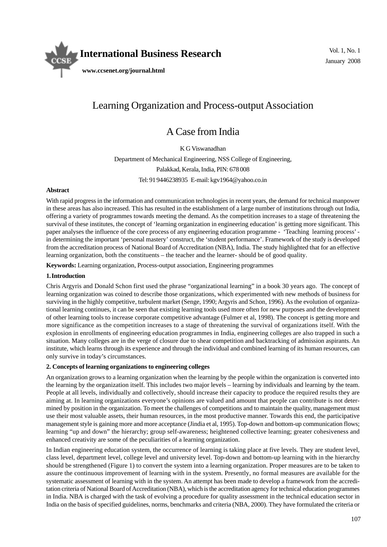

# Learning Organization and Process-output Association

# A Case from India

K G Viswanadhan

Department of Mechanical Engineering, NSS College of Engineering, Palakkad, Kerala, India, PIN: 678 008 Tel: 91 9446238935 E-mail: kgv1964@yahoo.co.in

### **Abstract**

With rapid progress in the information and communication technologies in recent years, the demand for technical manpower in these areas has also increased. This has resulted in the establishment of a large number of institutions through out India, offering a variety of programmes towards meeting the demand. As the competition increases to a stage of threatening the survival of these institutes, the concept of 'learning organization in engineering education' is getting more significant. This paper analyses the influence of the core process of any engineering education programme - 'Teaching learning process' in determining the important 'personal mastery' construct, the 'student performance'. Framework of the study is developed from the accreditation process of National Board of Accreditation (NBA), India. The study highlighted that for an effective learning organization, both the constituents – the teacher and the learner- should be of good quality.

**Keywords:** Learning organization, Process-output association, Engineering programmes

#### **1. Introduction**

Chris Argyris and Donald Schon first used the phrase "organizational learning" in a book 30 years ago. The concept of learning organization was coined to describe those organizations, which experimented with new methods of business for surviving in the highly competitive, turbulent market (Senge, 1990; Argyris and Schon, 1996). As the evolution of organizational learning continues, it can be seen that existing learning tools used more often for new purposes and the development of other learning tools to increase corporate competitive advantage (Fulmer et al, 1998). The concept is getting more and more significance as the competition increases to a stage of threatening the survival of organizations itself. With the explosion in enrollments of engineering education programmes in India, engineering colleges are also trapped in such a situation. Many colleges are in the verge of closure due to shear competition and backtracking of admission aspirants. An institute, which learns through its experience and through the individual and combined learning of its human resources, can only survive in today's circumstances.

### **2. Concepts of learning organizations to engineering colleges**

An organization grows to a learning organization when the learning by the people within the organization is converted into the learning by the organization itself. This includes two major levels – learning by individuals and learning by the team. People at all levels, individually and collectively, should increase their capacity to produce the required results they are aiming at. In learning organizations everyone's opinions are valued and amount that people can contribute is not determined by position in the organization. To meet the challenges of competitions and to maintain the quality, management must use their most valuable assets, their human resources, in the most productive manner. Towards this end, the participative management style is gaining more and more acceptance (Jindia et al, 1995). Top-down and bottom-up communication flows; learning "up and down" the hierarchy; group self-awareness; heightened collective learning; greater cohesiveness and enhanced creativity are some of the peculiarities of a learning organization.

In Indian engineering education system, the occurrence of learning is taking place at five levels. They are student level, class level, department level, college level and university level. Top-down and bottom-up learning with in the hierarchy should be strengthened (Figure 1) to convert the system into a learning organization. Proper measures are to be taken to assure the continuous improvement of learning with in the system. Presently, no formal measures are available for the systematic assessment of learning with in the system. An attempt has been made to develop a framework from the accreditation criteria of National Board of Accreditation (NBA), which is the accreditation agency for technical education programmes in India. NBA is charged with the task of evolving a procedure for quality assessment in the technical education sector in India on the basis of specified guidelines, norms, benchmarks and criteria (NBA, 2000). They have formulated the criteria or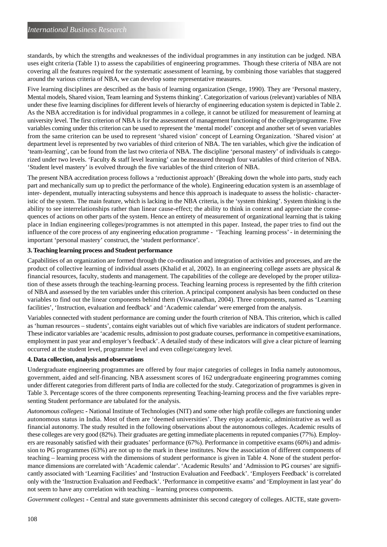standards, by which the strengths and weaknesses of the individual programmes in any institution can be judged. NBA uses eight criteria (Table 1) to assess the capabilities of engineering programmes. Though these criteria of NBA are not covering all the features required for the systematic assessment of learning, by combining those variables that staggered around the various criteria of NBA, we can develop some representative measures.

Five learning disciplines are described as the basis of learning organization (Senge, 1990). They are 'Personal mastery, Mental models, Shared vision, Team learning and Systems thinking'. Categorization of various (relevant) variables of NBA under these five learning disciplines for different levels of hierarchy of engineering education system is depicted in Table 2. As the NBA accreditation is for individual programmes in a college, it cannot be utilized for measurement of learning at university level. The first criterion of NBA is for the assessment of management functioning of the college/programme. Five variables coming under this criterion can be used to represent the 'mental model' concept and another set of seven variables from the same criterion can be used to represent 'shared vision' concept of Learning Organization. 'Shared vision' at department level is represented by two variables of third criterion of NBA. The ten variables, which give the indication of 'team-learning', can be found from the last two criteria of NBA. The discipline 'personal mastery' of individuals is categorized under two levels. 'Faculty & staff level learning' can be measured through four variables of third criterion of NBA. 'Student level mastery' is evolved through the five variables of the third criterion of NBA.

The present NBA accreditation process follows a 'reductionist approach' (Breaking down the whole into parts, study each part and mechanically sum up to predict the performance of the whole). Engineering education system is an assemblage of inter- dependent, mutually interacting subsystems and hence this approach is inadequate to assess the holistic- characteristic of the system. The main feature, which is lacking in the NBA criteria, is the 'system thinking'. System thinking is the ability to see interrelationships rather than linear cause-effect; the ability to think in context and appreciate the consequences of actions on other parts of the system. Hence an entirety of measurement of organizational learning that is taking place in Indian engineering colleges/programmes is not attempted in this paper. Instead, the paper tries to find out the influence of the core process of any engineering education programme - 'Teaching learning process' - in determining the important 'personal mastery' construct, the 'student performance'.

#### **3. Teaching learning process and Student performance**

Capabilities of an organization are formed through the co-ordination and integration of activities and processes, and are the product of collective learning of individual assets (Khalid et al, 2002). In an engineering college assets are physical & financial resources, faculty, students and management. The capabilities of the college are developed by the proper utilization of these assets through the teaching-learning process. Teaching learning process is represented by the fifth criterion of NBA and assessed by the ten variables under this criterion. A principal component analysis has been conducted on these variables to find out the linear components behind them (Viswanadhan, 2004). Three components, named as 'Learning facilities', 'Instruction, evaluation and feedback' and 'Academic calendar' were emerged from the analysis.

Variables connected with student performance are coming under the fourth criterion of NBA. This criterion, which is called as 'human resources – students', contains eight variables out of which five variables are indicators of student performance. These indicator variables are 'academic results, admission to post graduate courses, performance in competitive examinations, employment in past year and employer's feedback'. A detailed study of these indicators will give a clear picture of learning occurred at the student level, programme level and even college/category level.

#### **4. Data collection, analysis and observations**

Undergraduate engineering programmes are offered by four major categories of colleges in India namely autonomous, government, aided and self-financing. NBA assessment scores of 162 undergraduate engineering programmes coming under different categories from different parts of India are collected for the study. Categorization of programmes is given in Table 3. Percentage scores of the three components representing Teaching-learning process and the five variables representing Student performance are tabulated for the analysis.

*Autonomous colleges***: -** National Institute of Technologies (NIT) and some other high profile colleges are functioning under autonomous status in India. Most of them are 'deemed universities'. They enjoy academic, administrative as well as financial autonomy. The study resulted in the following observations about the autonomous colleges. Academic results of these colleges are very good (82%). Their graduates are getting immediate placements in reputed companies (77%). Employers are reasonably satisfied with their graduates' performance (67%). Performance in competitive exams (60%) and admission to PG programmes (63%) are not up to the mark in these institutes. Now the association of different components of teaching – learning process with the dimensions of student performance is given in Table 4. None of the student performance dimensions are correlated with 'Academic calendar'. 'Academic Results' and 'Admission to PG courses' are significantly associated with 'Learning Facilities' and 'Instruction Evaluation and Feedback'. 'Employers Feedback' is correlated only with the 'Instruction Evaluation and Feedback'. 'Performance in competitive exams' and 'Employment in last year' do not seem to have any correlation with teaching – learning process components.

*Government colleges*: - Central and state governments administer this second category of colleges. AICTE, state govern-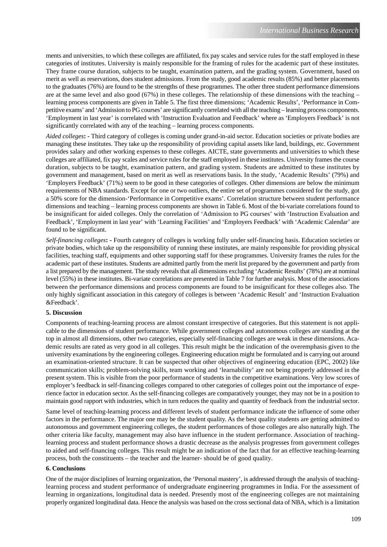ments and universities, to which these colleges are affiliated, fix pay scales and service rules for the staff employed in these categories of institutes. University is mainly responsible for the framing of rules for the academic part of these institutes. They frame course duration, subjects to be taught, examination pattern, and the grading system. Government, based on merit as well as reservations, does student admissions. From the study, good academic results (85%) and better placements to the graduates (76%) are found to be the strengths of these programmes. The other three student performance dimensions are at the same level and also good (67%) in these colleges. The relationship of these dimensions with the teaching – learning process components are given in Table 5. The first three dimensions; 'Academic Results', 'Performance in Competitive exams' and 'Admission to PG courses' are significantly correlated with all the teaching – learning process components. 'Employment in last year' is correlated with 'Instruction Evaluation and Feedback' where as 'Employers Feedback' is not significantly correlated with any of the teaching – learning process components.

*Aided colleges***: -** Third category of colleges is coming under grand-in-aid sector. Education societies or private bodies are managing these institutes. They take up the responsibility of providing capital assets like land, buildings, etc. Government provides salary and other working expenses to these colleges. AICTE, state governments and universities to which these colleges are affiliated, fix pay scales and service rules for the staff employed in these institutes. University frames the course duration, subjects to be taught, examination pattern, and grading system. Students are admitted to these institutes by government and management, based on merit as well as reservations basis. In the study, 'Academic Results' (79%) and 'Employers Feedback' (71%) seem to be good in these categories of colleges. Other dimensions are below the minimum requirements of NBA standards. Except for one or two outliers, the entire set of programmes considered for the study, got a 50% score for the dimension-'Performance in Competitive exams'. Correlation structure between student performance dimensions and teaching – learning process components are shown in Table 6. Most of the bi-variate correlations found to be insignificant for aided colleges. Only the correlation of 'Admission to PG courses' with 'Instruction Evaluation and Feedback', 'Employment in last year' with 'Learning Facilities' and 'Employers Feedback' with 'Academic Calendar' are found to be significant.

*Self-financing colleges***: -** Fourth category of colleges is working fully under self-financing basis. Education societies or private bodies, which take up the responsibility of running these institutes, are mainly responsible for providing physical facilities, teaching staff, equipments and other supporting staff for these programmes. University frames the rules for the academic part of these institutes. Students are admitted partly from the merit list prepared by the government and partly from a list prepared by the management. The study reveals that all dimensions excluding 'Academic Results' (78%) are at nominal level (55%) in these institutes. Bi-variate correlations are presented in Table 7 for further analysis. Most of the associations between the performance dimensions and process components are found to be insignificant for these colleges also. The only highly significant association in this category of colleges is between 'Academic Result' and 'Instruction Evaluation &Feedback'.

#### **5. Discussion**

Components of teaching-learning process are almost constant irrespective of categories. But this statement is not applicable to the dimensions of student performance. While government colleges and autonomous colleges are standing at the top in almost all dimensions, other two categories, especially self-financing colleges are weak in these dimensions. Academic results are rated as very good in all colleges. This result might be the indication of the overemphasis given to the university examinations by the engineering colleges. Engineering education might be formulated and is carrying out around an examination-oriented structure. It can be suspected that other objectives of engineering education (EPC, 2002) like communication skills; problem-solving skills, team working and 'learnability' are not being properly addressed in the present system. This is visible from the poor performance of students in the competitive examinations. Very low scores of employer's feedback in self-financing colleges compared to other categories of colleges point out the importance of experience factor in education sector. As the self-financing colleges are comparatively younger, they may not be in a position to maintain good rapport with industries, which in turn reduces the quality and quantity of feedback from the industrial sector.

Same level of teaching-learning process and different levels of student performance indicate the influence of some other factors in the performance. The major one may be the student quality. As the best quality students are getting admitted to autonomous and government engineering colleges, the student performances of those colleges are also naturally high. The other criteria like faculty, management may also have influence in the student performance. Association of teachinglearning process and student performance shows a drastic decrease as the analysis progresses from government colleges to aided and self-financing colleges. This result might be an indication of the fact that for an effective teaching-learning process, both the constituents – the teacher and the learner- should be of good quality.

#### **6. Conclusions**

One of the major disciplines of learning organization, the 'Personal mastery', is addressed through the analysis of teachinglearning process and student performance of undergraduate engineering programmes in India. For the assessment of learning in organizations, longitudinal data is needed. Presently most of the engineering colleges are not maintaining properly organized longitudinal data. Hence the analysis was based on the cross sectional data of NBA, which is a limitation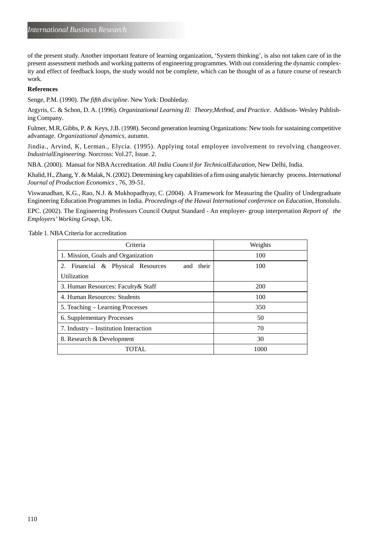of the present study. Another important feature of learning organization, 'System thinking', is also not taken care of in the present assessment methods and working patterns of engineering programmes. With out considering the dynamic complexity and effect of feedback loops, the study would not be complete, which can be thought of as a future course of research work.

#### **References**

Senge, P.M. (1990). *The fifth discipline*. New York: Doubleday.

Argyris, C. & Schon, D. A. (1996). *Organizational Learning II: Theory,Method, and Practice*. Addison- Wesley Publishing Company.

Fulmer, M.R, Gibbs, P. & Keys, J.B. (1998). Second generation learning Organizations: New tools for sustaining competitive advantage. *Organizational dynamics*, autumn.

Jindia., Arvind, K, Lerman., Elycia. (1995). Applying total employee involvement to revolving changeover. *IndustrialEngineering*. Norcross: Vol.27, Issue. 2.

NBA. (2000). Manual for NBAAccreditation. *All India Council for TechnicalEducation*, New Delhi, India.

Khalid, H., Zhang, Y. & Malak, N. (2002). Determining key capabilities of a firm using analytic hierarchy process. *International Journal of Production Economics* , 76, 39-51.

Viswanadhan, K.G., Rao, N.J. & Mukhopadhyay, C. (2004). A Framework for Measuring the Quality of Undergraduate Engineering Education Programmes in India. *Proceedings of the Hawai International conference on Education*, Honolulu.

EPC. (2002). The Engineering Professors Council Output Standard - An employer- group interpretation *Report of the Employers' Working Group,* UK.

Table 1. NBA Criteria for accreditation

| Criteria                                             | Weights |  |
|------------------------------------------------------|---------|--|
| 1. Mission, Goals and Organization                   | 100     |  |
| Financial & Physical Resources<br>and<br>their<br>2. | 100     |  |
| Utilization                                          |         |  |
| 3. Human Resources: Faculty & Staff                  | 200     |  |
| 4. Human Resources: Students                         | 100     |  |
| 5. Teaching – Learning Processes                     | 350     |  |
| 6. Supplementary Processes                           | 50      |  |
| 7. Industry – Institution Interaction                | 70      |  |
| 8. Research & Development                            | 30      |  |
| <b>TOTAL</b>                                         | 1000    |  |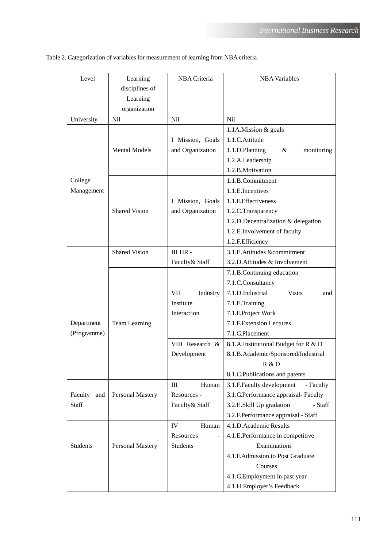| Level           | Learning             | NBA Criteria     | <b>NBA</b> Variables                     |  |
|-----------------|----------------------|------------------|------------------------------------------|--|
|                 | disciplines of       |                  |                                          |  |
|                 | Learning             |                  |                                          |  |
|                 | organization         |                  |                                          |  |
| University      | Nil                  | Nil              | Nil                                      |  |
|                 |                      |                  | 1.1A.Mission & goals                     |  |
|                 |                      | I Mission, Goals | 1.1.C.Attitude                           |  |
|                 | <b>Mental Models</b> | and Organization | 1.1.D.Planning<br>$\&$<br>monitoring     |  |
|                 |                      |                  | 1.2.A.Leadership                         |  |
|                 |                      |                  | 1.2.B.Motivation                         |  |
| College         |                      |                  | 1.1.B.Commitment                         |  |
| Management      |                      |                  | 1.1.E.Incentives                         |  |
|                 |                      | I Mission, Goals | 1.1.F.Effectiveness                      |  |
|                 | <b>Shared Vision</b> | and Organization | 1.2.C.Transparency                       |  |
|                 |                      |                  | 1.2.D.Decentralization & delegation      |  |
|                 |                      |                  | 1.2.E.Involvement of faculty             |  |
|                 |                      |                  | 1.2.F.Efficiency                         |  |
|                 | <b>Shared Vision</b> | III HR -         | 3.1.E.Attitudes &commitment              |  |
|                 |                      | Faculty & Staff  | 3.2.D. Attitudes & Involvement           |  |
|                 |                      |                  | 7.1.B.Continuing education               |  |
|                 |                      |                  | 7.1.C.Consultancy                        |  |
|                 |                      | VII<br>Industry  | 7.1.D.Industrial<br><b>Visits</b><br>and |  |
|                 |                      | Institute        | 7.1.E.Training                           |  |
|                 |                      | Interaction      | 7.1.F.Project Work                       |  |
| Department      | Team Learning        |                  | 7.1.F. Extension Lectures                |  |
| (Programme)     |                      |                  | 7.1.G.Placement                          |  |
|                 |                      | VIII Research &  | 8.1.A.Institutional Budget for R & D     |  |
|                 |                      | Development      | 8.1.B.Academic/Sponsored/Industrial      |  |
|                 |                      |                  | R & D                                    |  |
|                 |                      |                  | 8.1.C.Publications and patents           |  |
|                 |                      | III<br>Human     | 3.1.F.Faculty development<br>- Faculty   |  |
| Faculty<br>and  | Personal Mastery     | Resources -      | 3.1.G.Performance appraisal- Faculty     |  |
| Staff           |                      | Faculty & Staff  | 3.2.E.Skill Up gradation<br>- Staff      |  |
|                 |                      |                  | 3.2.F.Performance appraisal - Staff      |  |
|                 |                      | IV<br>Human      | 4.1.D.Academic Results                   |  |
|                 |                      | Resources        | 4.1.E.Performance in competitive         |  |
| <b>Students</b> | Personal Mastery     | <b>Students</b>  | Examinations                             |  |
|                 |                      |                  | 4.1.F.Admission to Post Graduate         |  |
|                 |                      |                  | Courses                                  |  |
|                 |                      |                  | 4.1.G.Employment in past year            |  |
|                 |                      |                  | 4.1.H.Employer's Feedback                |  |

Table 2. Categorization of variables for measurement of learning from NBA criteria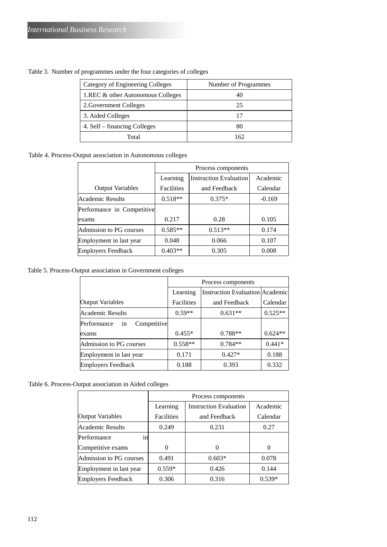| Category of Engineering Colleges  | Number of Programmes |
|-----------------------------------|----------------------|
| 1.REC & other Autonomous Colleges | 40                   |
| 2. Government Colleges            | 25                   |
| 3. Aided Colleges                 | 17                   |
| 4. Self – financing Colleges      | 80                   |
| Total                             | 162                  |

Table 3. Number of programmes under the four categories of colleges

Table 4. Process-Output association in Autonomous colleges

|                            | Process components |                               |          |
|----------------------------|--------------------|-------------------------------|----------|
|                            | Learning           | <b>Instruction Evaluation</b> | Academic |
| <b>Output Variables</b>    | Facilities         | and Feedback                  | Calendar |
| Academic Results           | $0.518**$          | $0.375*$                      | $-0.169$ |
| Performance in Competitive |                    |                               |          |
| exams                      | 0.217              | 0.28                          | 0.105    |
| Admission to PG courses    | $0.585**$          | $0.513**$                     | 0.174    |
| Employment in last year    | 0.048              | 0.066                         | 0.107    |
| <b>Employers Feedback</b>  | $0.403**$          | 0.305                         | 0.008    |

Table 5. Process-Output association in Government colleges

|                                  | Process components |                                        |           |
|----------------------------------|--------------------|----------------------------------------|-----------|
|                                  | Learning           | <b>Instruction Evaluation Academic</b> |           |
| <b>Output Variables</b>          | Facilities         | and Feedback                           | Calendar  |
| Academic Results                 | $0.59**$           | $0.631**$                              | $0.525**$ |
| Performance<br>Competitive<br>in |                    |                                        |           |
| exams                            | $0.455*$           | $0.788**$                              | $0.624**$ |
| Admission to PG courses          | $0.558**$          | $0.784**$                              | $0.441*$  |
| Employment in last year          | 0.171              | $0.427*$                               | 0.188     |
| <b>Employers Feedback</b>        | 0.188              | 0.393                                  | 0.332     |

Table 6. Process-Output association in Aided colleges

|                           | Process components |                               |          |
|---------------------------|--------------------|-------------------------------|----------|
|                           | Learning           | <b>Instruction Evaluation</b> | Academic |
| <b>Output Variables</b>   | Facilities         | and Feedback                  | Calendar |
| <b>Academic Results</b>   | 0.249              | 0.231                         | 0.27     |
| in<br>Performance         |                    |                               |          |
| Competitive exams         | 0                  | 0                             | $\Omega$ |
| Admission to PG courses   | 0.491              | $0.603*$                      | 0.078    |
| Employment in last year   | $0.559*$           | 0.426                         | 0.144    |
| <b>Employers Feedback</b> | 0.306              | 0.316                         | $0.539*$ |